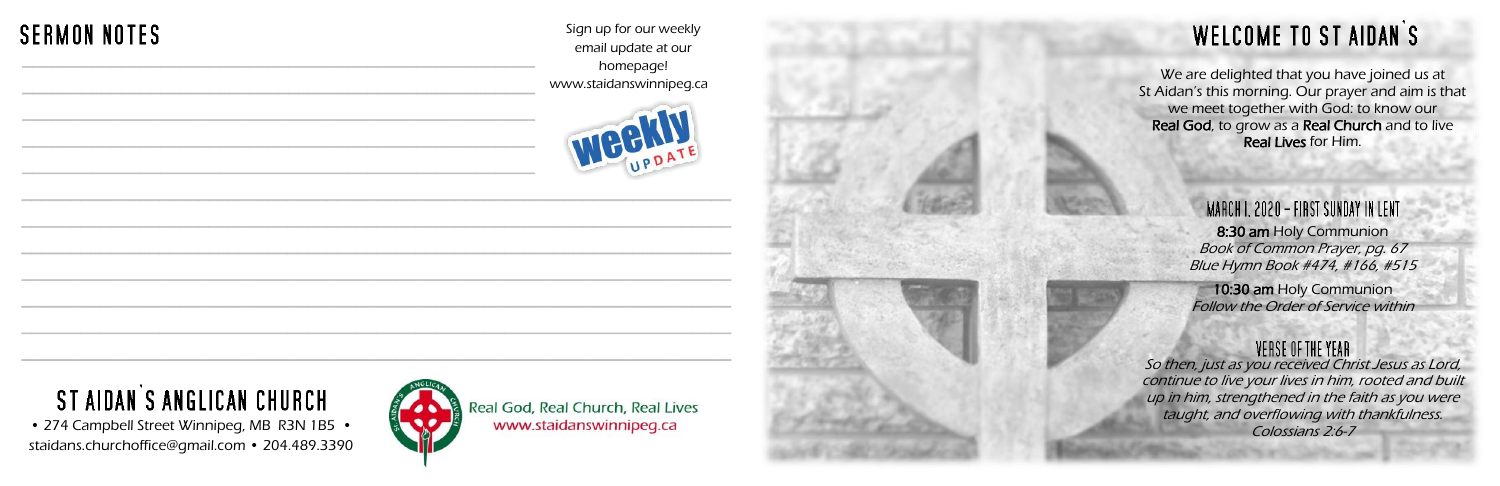We are delighted that you have joined us at St Aidan's this morning. Our prayer and aim is that we meet together with God: to know our Real God, to grow as a Real Church and to live Real Lives for Him.

> MARCH I. 2020 – FIRST SUNDAY IN LENT. 8:30 am Holy Communion Book of Common Prayer, pg. 67 Blue Hymn Book #474, #166, #515

10:30 am Holy Communion Follow the Order of Service within

#### VERSE OF THE YEAR



• 274 Campbell Street Winnipeg, MB R3N 1B5 • staidans.churchoffice@gmail.com • 204.489.3390

Sign up for our weekly email update at our homepage! www.staidanswinnipeg.ca





Real God, Real Church, Real Lives www.staidanswinnipeg.ca

## **WELCOME TO ST AIDAN'S**

### **SERMON NOTES** \_\_\_\_\_\_\_\_\_\_\_\_\_\_\_\_\_\_\_\_\_\_\_\_\_\_\_\_\_\_\_\_\_\_\_\_\_\_\_\_\_\_\_\_\_\_\_\_\_\_\_\_

# ST AIDAN'S ANGLICAN CHURCH

So then, just as you received Christ Jesus as Lord, continue to live your lives in him, rooted and built up in him, strengthened in the faith as you were taught, and overflowing with thankfulness. Colossians 2:6-7

\_\_\_\_\_\_\_\_\_\_\_\_\_\_\_\_\_\_\_\_\_\_\_\_\_\_\_\_\_\_\_\_\_\_\_\_\_\_\_\_\_\_\_\_\_\_\_\_\_\_\_\_

\_\_\_\_\_\_\_\_\_\_\_\_\_\_\_\_\_\_\_\_\_\_\_\_\_\_\_\_\_\_\_\_\_\_\_\_\_\_\_\_\_\_\_\_\_\_\_\_\_\_\_\_

\_\_\_\_\_\_\_\_\_\_\_\_\_\_\_\_\_\_\_\_\_\_\_\_\_\_\_\_\_\_\_\_\_\_\_\_\_\_\_\_\_\_\_\_\_\_\_\_\_\_\_\_

\_\_\_\_\_\_\_\_\_\_\_\_\_\_\_\_\_\_\_\_\_\_\_\_\_\_\_\_\_\_\_\_\_\_\_\_\_\_\_\_\_\_\_\_\_\_\_\_\_\_\_\_

 $\overline{a}$  , and the contribution of the contribution of the contribution of the contribution of the contribution of the contribution of the contribution of the contribution of the contribution of the contribution of the co

 $\overline{a}$  , and the contribution of the contribution of the contribution of the contribution of the contribution of the contribution of the contribution of the contribution of the contribution of the contribution of the co

 $\overline{a}$  , and the contribution of the contribution of the contribution of the contribution of the contribution of the contribution of the contribution of the contribution of the contribution of the contribution of the co

 $\mathcal{L}_\text{G}$  , and the contribution of the contribution of the contribution of the contribution of the contribution of the contribution of the contribution of the contribution of the contribution of the contribution of t

 $\mathcal{L}_\text{G}$  , and the contribution of the contribution of the contribution of the contribution of the contribution of the contribution of the contribution of the contribution of the contribution of the contribution of t

 $\mathcal{L}_\text{G}$  , and the set of the set of the set of the set of the set of the set of the set of the set of the set of the set of the set of the set of the set of the set of the set of the set of the set of the set of the

 $\mathcal{L}_\text{max}$  , and the contribution of the contribution of the contribution of the contribution of the contribution of the contribution of the contribution of the contribution of the contribution of the contribution of t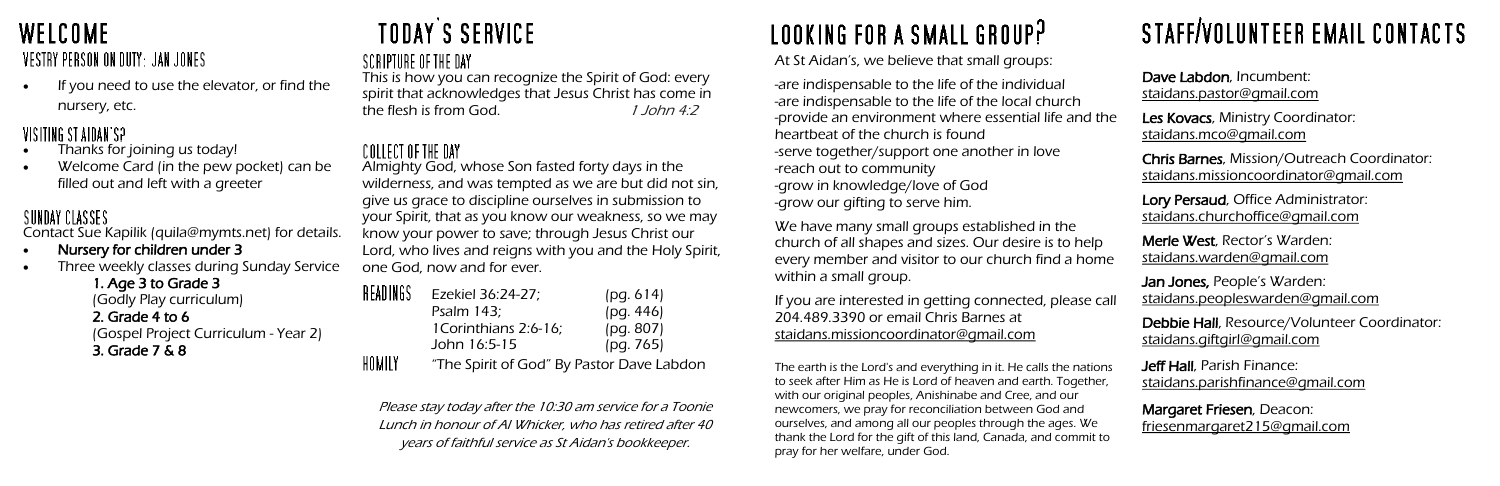### **WELCOME** VESTRY PERSON ON DUTY: JAN JONES

If you need to use the elevator, or find the nursery, etc.

### VISITING ST AIDAN'S?

- Thanks for joining us today!
- Welcome Card (in the pew pocket) can be filled out and left with a greeter

### SUNDAY CLASSES

Contact Sue Kapilik (quila@mymts.net) for details.

- Nursery for children under 3
- Three weekly classes during Sunday Service

1. Age 3 to Grade 3 (Godly Play curriculum) 2. Grade 4 to 6 (Gospel Project Curriculum - Year 2) 3. Grade 7 & 8

# **TODAY'S SERVICE**

### SCRIPTURE OF THE DAY

The earth is the Lord's and everything in it. He calls the nation to seek after Him as He is Lord of heaven and earth. Together with our original peoples, Anishinabe and Cree, and our newcomers, we pray for reconciliation between God and ourselves, and among all our peoples through the ages. We thank the Lord for the gift of this land, Canada, and commit to pray for her welfare, under God.

This is how you can recognize the Spirit of God: every spirit that acknowledges that Jesus Christ has come in the flesh is from God. 1 John 4:2

# STAFF/VOLUNTEER EMAIL CONTACTS

### COLLECT OF THE DAY

|            | Dave Labdon, Incumbent:<br><u>staidans.pastor@gmail.com</u>                                        |
|------------|----------------------------------------------------------------------------------------------------|
| ነԲ         | Les Kovacs, Ministry Coordinator:<br>staidans.mco@gmail.com                                        |
|            | <b>Chris Barnes, Mission/Outreach Coordinator:</b><br><u>staidans.missioncoordinator@qmail.com</u> |
|            | Lory Persaud, Office Administrator:<br>staidans.churchoffice@gmail.com                             |
| $\epsilon$ | Merle West, Rector's Warden:<br><u>staidans.warden@qmail.com</u>                                   |
| all        | <b>Jan Jones, People's Warden:</b><br>staidans.peopleswarden@gmail.com                             |
|            | Debbie Hall, Resource/Volunteer Coordinator:<br>staidans.giftgirl@gmail.com                        |
| ΙS         | <b>Jeff Hall</b> , Parish Finance:<br><u>staidans.parishfinance@gmail.com</u>                      |
| C          | Margaret Friesen, Deacon:<br><u>friesenmargaret215@gmail.com</u>                                   |

We have many small groups established in the church of all shapes and sizes. Our desire is to help every member and visitor to our church find a hom within a small group.

If you are interested in getting connected, please call 204.489.3390 or email Chris Barnes at [staidans.missioncoordinator@gmail.com](mailto:staidans.missioncoordinator@gmail.com)

Almighty God, whose Son fasted forty days in the wilderness, and was tempted as we are but did not sin, give us grace to discipline ourselves in submission to your Spirit, that as you know our weakness, so we may know your power to save; through Jesus Christ our Lord, who lives and reigns with you and the Holy Spirit, one God, now and for ever.

| IEADINGS | Ezekiel 36:24-27;                         | (pq. 614) |
|----------|-------------------------------------------|-----------|
|          | Psalm 143;                                | (pq. 446) |
|          | 1Corinthians 2:6-16;                      | (pg. 807) |
|          | John 16:5-15                              | (pg. 765) |
| IOMILY   | "The Spirit of God" By Pastor Dave Labdon |           |

Please stay today after the 10:30 am service for a Toonie Lunch in honour of Al Whicker, who has retired after 40 years of faithful service as St Aidan's bookkeeper.

# LOOKING FOR A SMALL GROUP?

At St Aidan's, we believe that small groups:

-are indispensable to the life of the individual -are indispensable to the life of the local church -provide an environment where essential life and the heartbeat of the church is found -serve together/support one another in love -reach out to community -grow in knowledge/love of God -grow our gifting to serve him.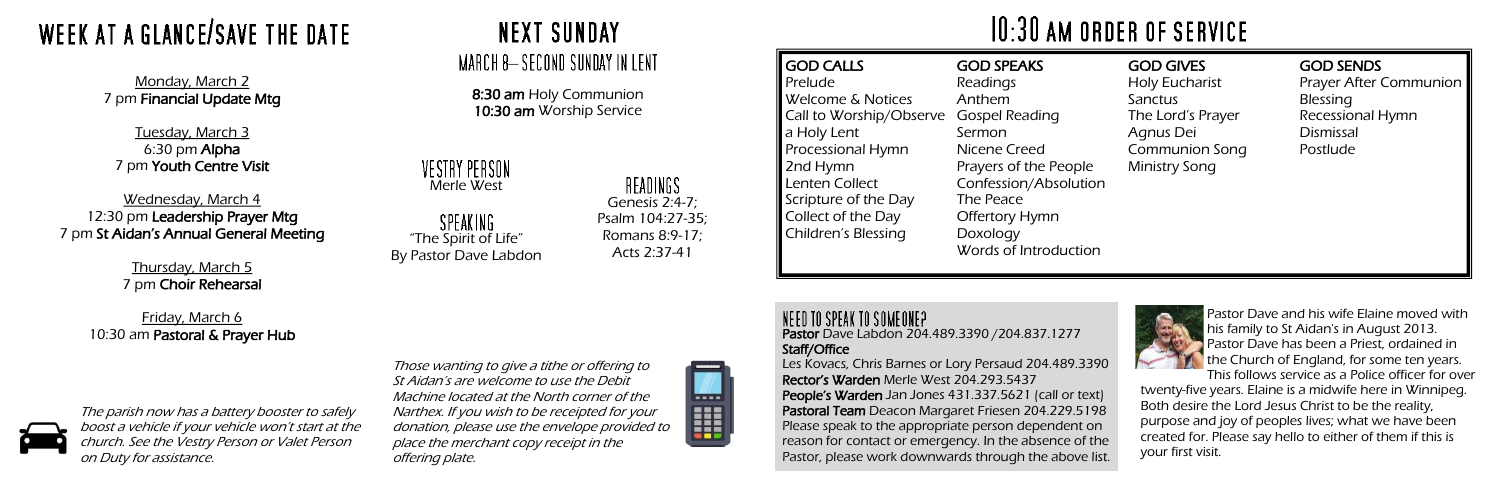Pastor Dave Labdon 204.489.3390 /204.837.1277 Staff/Office

Les Kovacs, Chris Barnes or Lory Persaud 204.489.3390 Rector's Warden Merle West 204.293.5437 People's Warden Jan Jones 431.337.5621 (call or text) Pastoral Team Deacon Margaret Friesen 204.229.5198 Please speak to the appropriate person dependent on reason for contact or emergency. In the absence of the Pastor, please work downwards through the above list.

Prelude

### VESTRY PERSON Merle West

SPEAKING "The Spirit of Life" By Pastor Dave Labdon

### READINGS

GOD CALLS Welcome & Notices Call to Worship/Observe a Holy Lent Processional Hymn 2nd Hymn Lenten Collect Scripture of the Day Collect of the Day Children's Blessing GOD SPEAKS Readings Anthem Gospel Reading Sermon Nicene Creed Prayers of the People Confession/Absolution The Peace Offertory Hymn Doxology Words of Introduction

### NEED TO SPEAK TO SOMEONE?

#### GOD GIVES

Holy Eucharist **Sanctus** The Lord's Prayer Agnus Dei Communion Song Ministry Song

#### GOD SENDS

Prayer After Communion Blessing Recessional Hymn Dismissal Postlude



8:30 am Holy Communion 10:30 am Worship Service

> Genesis 2:4-7; Psalm 104:27-35; Romans 8:9-17; Acts 2:37-41

# WEEK AT A GLANCE/SAVE THE DATE

Monday, March 2 7 pm Financial Update Mtg

Tuesday, March 3 6:30 pm Alpha 7 pm Youth Centre Visit

Wednesday, March 4 12:30 pm Leadership Prayer Mtg 7 pm St Aidan's Annual General Meeting

> Thursday, March 5 7 pm Choir Rehearsal

Friday, March 6 10:30 am Pastoral & Prayer Hub



Pastor Dave and his wife Elaine moved with his family to St Aidan's in August 2013. Pastor Dave has been a Priest, ordained in the Church of England, for some ten years. This follows service as a Police officer for over

twenty-five years. Elaine is a midwife here in Winnipeg. Both desire the Lord Jesus Christ to be the reality, purpose and joy of peoples lives; what we have been created for. Please say hello to either of them if this is your first visit.

Those wanting to give a tithe or offering to St Aidan's are welcome to use the Debit Machine located at the North corner of the Narthex. If you wish to be receipted for your donation, please use the envelope provided to place the merchant copy receipt in the offering plate.



# $10:30$  AM ORDER OF SERVICE

The parish now has a battery booster to safely boost a vehicle if your vehicle won't start at the church. See the Vestry Person or Valet Person on Duty for assistance.

## **NEXT SUNDAY**

### MARCH 8-SECOND SUNDAY IN LENT